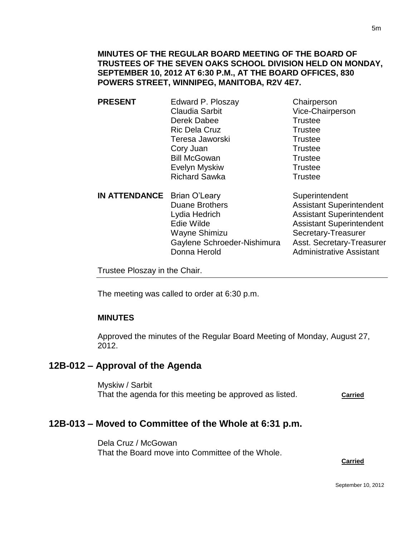**MINUTES OF THE REGULAR BOARD MEETING OF THE BOARD OF TRUSTEES OF THE SEVEN OAKS SCHOOL DIVISION HELD ON MONDAY, SEPTEMBER 10, 2012 AT 6:30 P.M., AT THE BOARD OFFICES, 830 POWERS STREET, WINNIPEG, MANITOBA, R2V 4E7.**

- **PRESENT** Edward P. Ploszay Chairperson Claudia Sarbit Vice-Chairperson Derek Dabee Trustee Ric Dela Cruz **Trustee** Teresa Jaworski **Trustee** Cory Juan Trustee Bill McGowan Trustee Evelyn Myskiw **Trustee** Richard Sawka Trustee
- **IN ATTENDANCE** Brian O'Leary Superintendent Duane Brothers **Assistant Superintendent** Lydia Hedrich Assistant Superintendent Edie Wilde **Assistant Superintendent** Wayne Shimizu Secretary-Treasurer Gaylene Schroeder-Nishimura Asst. Secretary-Treasurer Donna Herold **Administrative Assistant**

Trustee Ploszay in the Chair.

The meeting was called to order at 6:30 p.m.

### **MINUTES**

Approved the minutes of the Regular Board Meeting of Monday, August 27, 2012.

## **12B-012 – Approval of the Agenda**

Myskiw / Sarbit That the agenda for this meeting be approved as listed. **Carried**

## **12B-013 – Moved to Committee of the Whole at 6:31 p.m.**

Dela Cruz / McGowan That the Board move into Committee of the Whole.

#### **Carried**

5m

September 10, 2012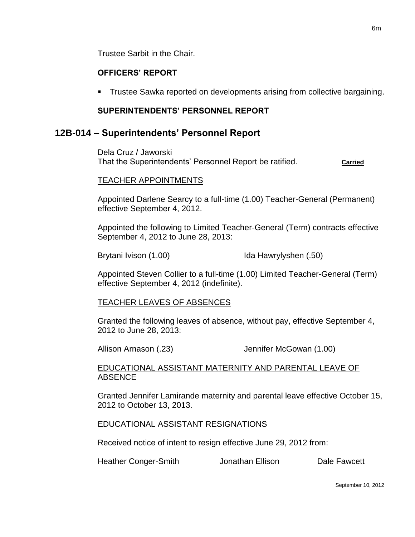Trustee Sarbit in the Chair.

#### **OFFICERS' REPORT**

**Trustee Sawka reported on developments arising from collective bargaining.** 

#### **SUPERINTENDENTS' PERSONNEL REPORT**

### **12B-014 – Superintendents' Personnel Report**

Dela Cruz / Jaworski That the Superintendents' Personnel Report be ratified. **Carried**

#### TEACHER APPOINTMENTS

Appointed Darlene Searcy to a full-time (1.00) Teacher-General (Permanent) effective September 4, 2012.

Appointed the following to Limited Teacher-General (Term) contracts effective September 4, 2012 to June 28, 2013:

Brytani Ivison (1.00) Ida Hawrylyshen (.50)

Appointed Steven Collier to a full-time (1.00) Limited Teacher-General (Term) effective September 4, 2012 (indefinite).

#### TEACHER LEAVES OF ABSENCES

Granted the following leaves of absence, without pay, effective September 4, 2012 to June 28, 2013:

Allison Arnason (.23) Jennifer McGowan (1.00)

#### EDUCATIONAL ASSISTANT MATERNITY AND PARENTAL LEAVE OF **ABSENCE**

Granted Jennifer Lamirande maternity and parental leave effective October 15, 2012 to October 13, 2013.

#### EDUCATIONAL ASSISTANT RESIGNATIONS

Received notice of intent to resign effective June 29, 2012 from:

Heather Conger-Smith **Jonathan Ellison** Dale Fawcett

September 10, 2012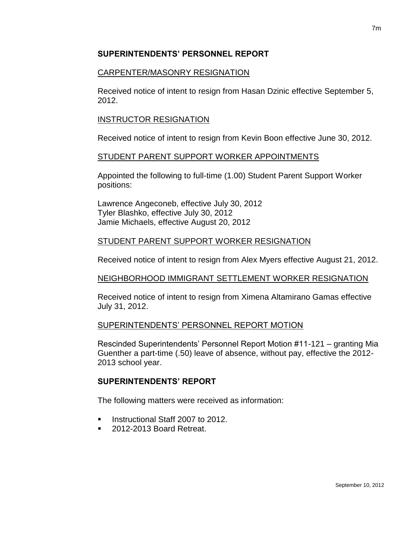### **SUPERINTENDENTS' PERSONNEL REPORT**

### CARPENTER/MASONRY RESIGNATION

Received notice of intent to resign from Hasan Dzinic effective September 5, 2012.

### INSTRUCTOR RESIGNATION

Received notice of intent to resign from Kevin Boon effective June 30, 2012.

### STUDENT PARENT SUPPORT WORKER APPOINTMENTS

Appointed the following to full-time (1.00) Student Parent Support Worker positions:

Lawrence Angeconeb, effective July 30, 2012 Tyler Blashko, effective July 30, 2012 Jamie Michaels, effective August 20, 2012

## STUDENT PARENT SUPPORT WORKER RESIGNATION

Received notice of intent to resign from Alex Myers effective August 21, 2012.

### NEIGHBORHOOD IMMIGRANT SETTLEMENT WORKER RESIGNATION

Received notice of intent to resign from Ximena Altamirano Gamas effective July 31, 2012.

### SUPERINTENDENTS' PERSONNEL REPORT MOTION

Rescinded Superintendents' Personnel Report Motion #11-121 – granting Mia Guenther a part-time (.50) leave of absence, without pay, effective the 2012- 2013 school year.

## **SUPERINTENDENTS' REPORT**

The following matters were received as information:

- Instructional Staff 2007 to 2012.
- 2012-2013 Board Retreat.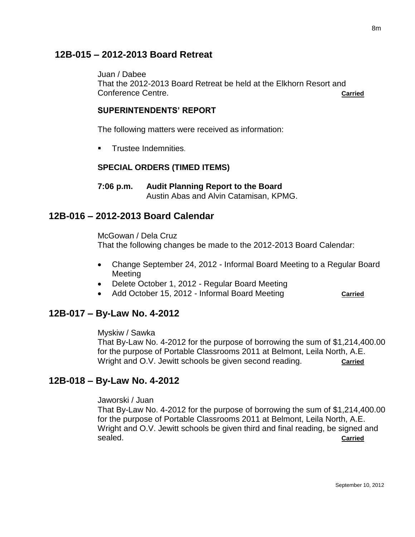## **12B-015 – 2012-2013 Board Retreat**

Juan / Dabee

That the 2012-2013 Board Retreat be held at the Elkhorn Resort and Conference Centre. **Carried**

#### **SUPERINTENDENTS' REPORT**

The following matters were received as information:

**Trustee Indemnities.** 

### **SPECIAL ORDERS (TIMED ITEMS)**

**7:06 p.m. Audit Planning Report to the Board** Austin Abas and Alvin Catamisan, KPMG.

## **12B-016 – 2012-2013 Board Calendar**

McGowan / Dela Cruz That the following changes be made to the 2012-2013 Board Calendar:

- Change September 24, 2012 Informal Board Meeting to a Regular Board Meeting
- Delete October 1, 2012 Regular Board Meeting
- Add October 15, 2012 Informal Board Meeting **Carried**

## **12B-017 – By-Law No. 4-2012**

Myskiw / Sawka

That By-Law No. 4-2012 for the purpose of borrowing the sum of \$1,214,400.00 for the purpose of Portable Classrooms 2011 at Belmont, Leila North, A.E. Wright and O.V. Jewitt schools be given second reading. **Carried** 

## **12B-018 – By-Law No. 4-2012**

Jaworski / Juan

That By-Law No. 4-2012 for the purpose of borrowing the sum of \$1,214,400.00 for the purpose of Portable Classrooms 2011 at Belmont, Leila North, A.E. Wright and O.V. Jewitt schools be given third and final reading, be signed and sealed. **Carried**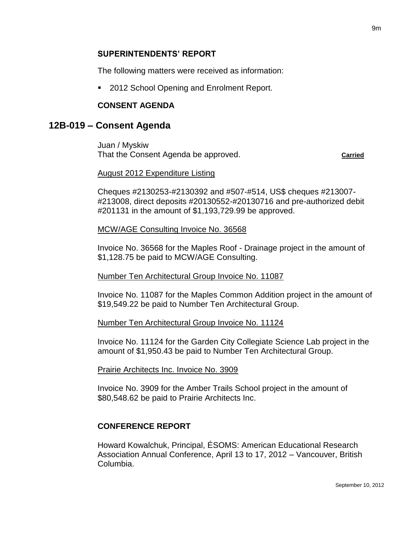#### **SUPERINTENDENTS' REPORT**

The following matters were received as information:

2012 School Opening and Enrolment Report.

#### **CONSENT AGENDA**

### **12B-019 – Consent Agenda**

Juan / Myskiw That the Consent Agenda be approved. **Carried**

#### August 2012 Expenditure Listing

Cheques #2130253-#2130392 and #507-#514, US\$ cheques #213007- #213008, direct deposits #20130552-#20130716 and pre-authorized debit #201131 in the amount of \$1,193,729.99 be approved.

#### MCW/AGE Consulting Invoice No. 36568

Invoice No. 36568 for the Maples Roof - Drainage project in the amount of \$1,128.75 be paid to MCW/AGE Consulting.

#### Number Ten Architectural Group Invoice No. 11087

Invoice No. 11087 for the Maples Common Addition project in the amount of \$19,549.22 be paid to Number Ten Architectural Group.

#### Number Ten Architectural Group Invoice No. 11124

Invoice No. 11124 for the Garden City Collegiate Science Lab project in the amount of \$1,950.43 be paid to Number Ten Architectural Group.

#### Prairie Architects Inc. Invoice No. 3909

Invoice No. 3909 for the Amber Trails School project in the amount of \$80,548.62 be paid to Prairie Architects Inc.

### **CONFERENCE REPORT**

Howard Kowalchuk, Principal, ÉSOMS: American Educational Research Association Annual Conference, April 13 to 17, 2012 – Vancouver, British Columbia.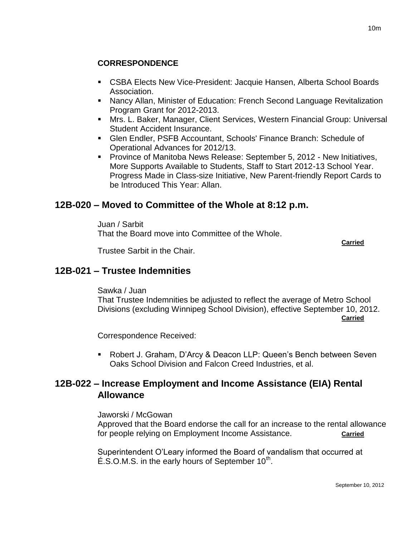## **CORRESPONDENCE**

- CSBA Elects New Vice-President: Jacquie Hansen, Alberta School Boards Association.
- Nancy Allan, Minister of Education: French Second Language Revitalization Program Grant for 2012-2013.
- Mrs. L. Baker, Manager, Client Services, Western Financial Group: Universal Student Accident Insurance.
- Glen Endler, PSFB Accountant, Schools' Finance Branch: Schedule of Operational Advances for 2012/13.
- **Province of Manitoba News Release: September 5, 2012 New Initiatives,** More Supports Available to Students, Staff to Start 2012-13 School Year. Progress Made in Class-size Initiative, New Parent-friendly Report Cards to be Introduced This Year: Allan.

# **12B-020 – Moved to Committee of the Whole at 8:12 p.m.**

Juan / Sarbit That the Board move into Committee of the Whole.

**Carried**

Trustee Sarbit in the Chair.

# **12B-021 – Trustee Indemnities**

Sawka / Juan That Trustee Indemnities be adjusted to reflect the average of Metro School Divisions (excluding Winnipeg School Division), effective September 10, 2012. **Carried**

Correspondence Received:

 Robert J. Graham, D'Arcy & Deacon LLP: Queen's Bench between Seven Oaks School Division and Falcon Creed Industries, et al.

# **12B-022 – Increase Employment and Income Assistance (EIA) Rental Allowance**

Jaworski / McGowan

Approved that the Board endorse the call for an increase to the rental allowance for people relying on Employment Income Assistance. **Carried**

Superintendent O'Leary informed the Board of vandalism that occurred at  $\acute{E}$ .S.O.M.S. in the early hours of September 10<sup>th</sup>.